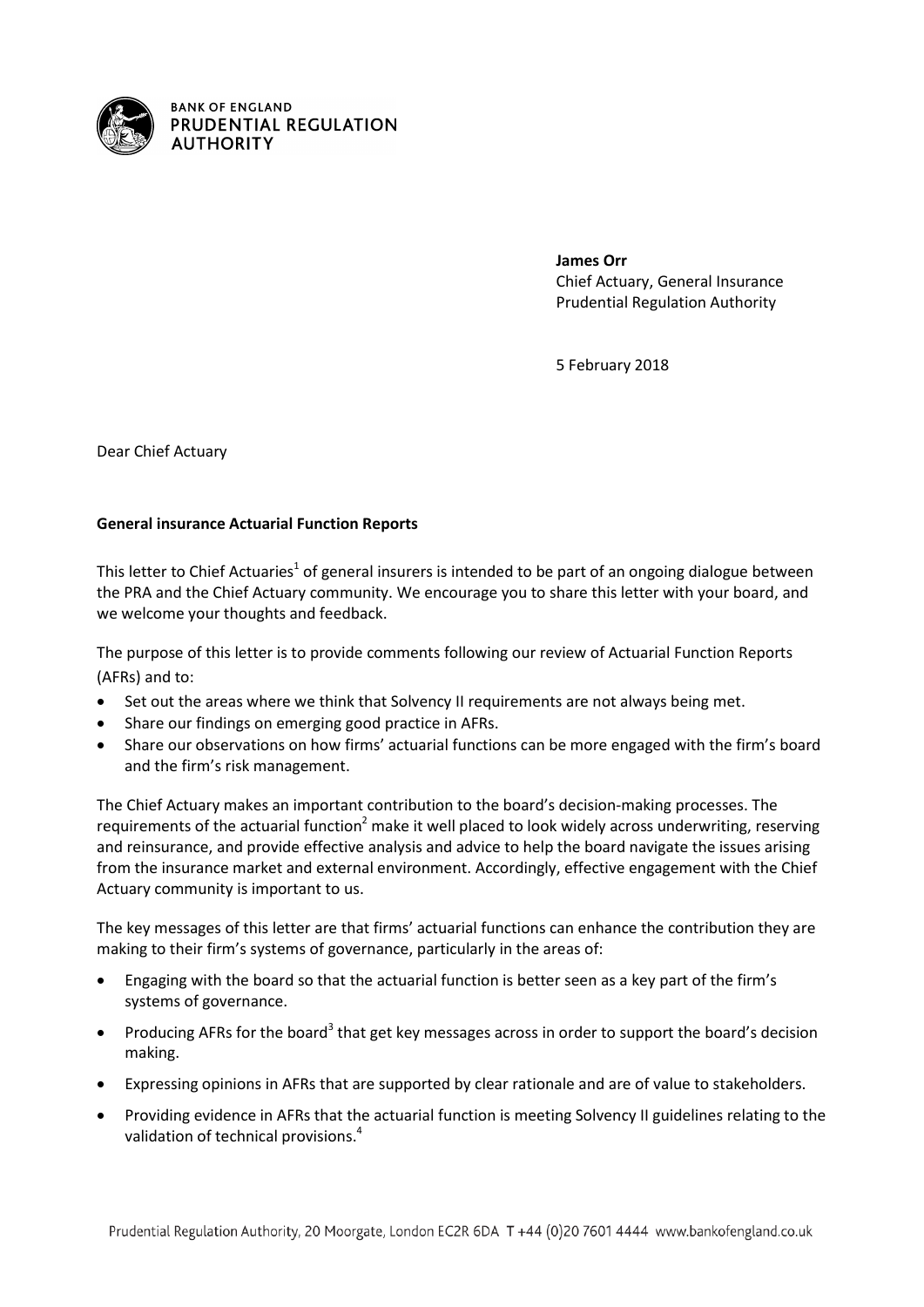

**James Orr** Chief Actuary, General Insurance Prudential Regulation Authority

5 February 2018

Dear Chief Actuary

# **General insurance Actuarial Function Reports**

This letter to Chief Actuaries<sup>1</sup> of general insurers is intended to be part of an ongoing dialogue between the PRA and the Chief Actuary community. We encourage you to share this letter with your board, and we welcome your thoughts and feedback.

The purpose of this letter is to provide comments following our review of Actuarial Function Reports (AFRs) and to:

- Set out the areas where we think that Solvency II requirements are not always being met.
- Share our findings on emerging good practice in AFRs.
- Share our observations on how firms' actuarial functions can be more engaged with the firm's board and the firm's risk management.

The Chief Actuary makes an important contribution to the board's decision-making processes. The requirements of the actuarial function<sup>2</sup> make it well placed to look widely across underwriting, reserving and reinsurance, and provide effective analysis and advice to help the board navigate the issues arising from the insurance market and external environment. Accordingly, effective engagement with the Chief Actuary community is important to us.

The key messages of this letter are that firms' actuarial functions can enhance the contribution they are making to their firm's systems of governance, particularly in the areas of:

- Engaging with the board so that the actuarial function is better seen as a key part of the firm's systems of governance.
- Producing AFRs for the board<sup>3</sup> that get key messages across in order to support the board's decision making.
- Expressing opinions in AFRs that are supported by clear rationale and are of value to stakeholders.
- Providing evidence in AFRs that the actuarial function is meeting Solvency II guidelines relating to the validation of technical provisions. 4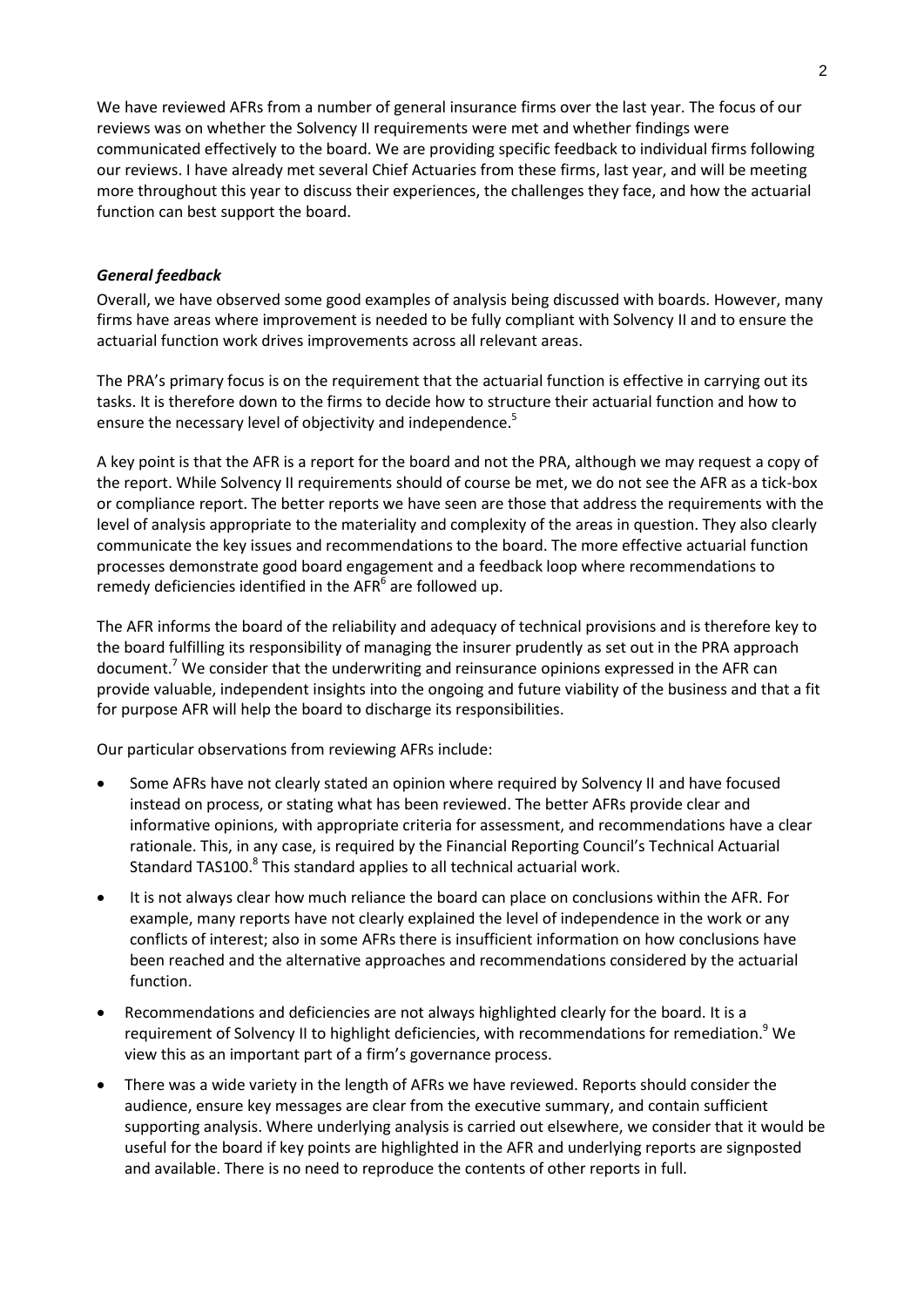We have reviewed AFRs from a number of general insurance firms over the last year. The focus of our reviews was on whether the Solvency II requirements were met and whether findings were communicated effectively to the board. We are providing specific feedback to individual firms following our reviews. I have already met several Chief Actuaries from these firms, last year, and will be meeting more throughout this year to discuss their experiences, the challenges they face, and how the actuarial function can best support the board.

#### *General feedback*

Overall, we have observed some good examples of analysis being discussed with boards. However, many firms have areas where improvement is needed to be fully compliant with Solvency II and to ensure the actuarial function work drives improvements across all relevant areas.

The PRA's primary focus is on the requirement that the actuarial function is effective in carrying out its tasks. It is therefore down to the firms to decide how to structure their actuarial function and how to ensure the necessary level of objectivity and independence.<sup>5</sup>

A key point is that the AFR is a report for the board and not the PRA, although we may request a copy of the report. While Solvency II requirements should of course be met, we do not see the AFR as a tick-box or compliance report. The better reports we have seen are those that address the requirements with the level of analysis appropriate to the materiality and complexity of the areas in question. They also clearly communicate the key issues and recommendations to the board. The more effective actuarial function processes demonstrate good board engagement and a feedback loop where recommendations to remedy deficiencies identified in the AFR $^6$  are followed up.

The AFR informs the board of the reliability and adequacy of technical provisions and is therefore key to the board fulfilling its responsibility of managing the insurer prudently as set out in the PRA approach document.<sup>7</sup> We consider that the underwriting and reinsurance opinions expressed in the AFR can provide valuable, independent insights into the ongoing and future viability of the business and that a fit for purpose AFR will help the board to discharge its responsibilities.

Our particular observations from reviewing AFRs include:

- Some AFRs have not clearly stated an opinion where required by Solvency II and have focused instead on process, or stating what has been reviewed. The better AFRs provide clear and informative opinions, with appropriate criteria for assessment, and recommendations have a clear rationale. This, in any case, is required by the Financial Reporting Council's Technical Actuarial Standard TAS100.<sup>8</sup> This standard applies to all technical actuarial work.
- It is not always clear how much reliance the board can place on conclusions within the AFR. For example, many reports have not clearly explained the level of independence in the work or any conflicts of interest; also in some AFRs there is insufficient information on how conclusions have been reached and the alternative approaches and recommendations considered by the actuarial function.
- Recommendations and deficiencies are not always highlighted clearly for the board. It is a requirement of Solvency II to highlight deficiencies, with recommendations for remediation.<sup>9</sup> We view this as an important part of a firm's governance process.
- There was a wide variety in the length of AFRs we have reviewed. Reports should consider the audience, ensure key messages are clear from the executive summary, and contain sufficient supporting analysis. Where underlying analysis is carried out elsewhere, we consider that it would be useful for the board if key points are highlighted in the AFR and underlying reports are signposted and available. There is no need to reproduce the contents of other reports in full.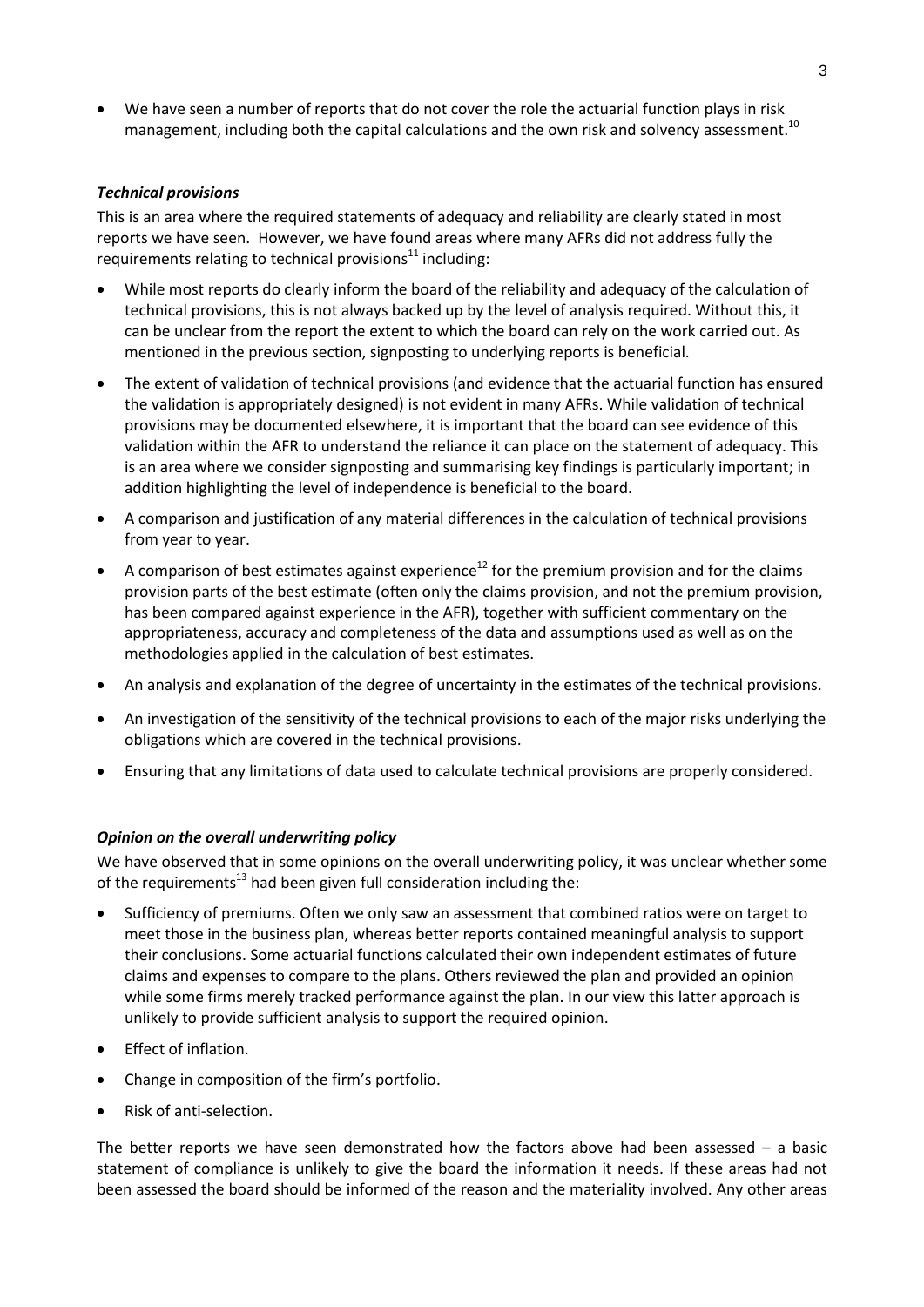We have seen a number of reports that do not cover the role the actuarial function plays in risk management, including both the capital calculations and the own risk and solvency assessment.<sup>10</sup>

### *Technical provisions*

This is an area where the required statements of adequacy and reliability are clearly stated in most reports we have seen. However, we have found areas where many AFRs did not address fully the requirements relating to technical provisions $11$  including:

- While most reports do clearly inform the board of the reliability and adequacy of the calculation of technical provisions, this is not always backed up by the level of analysis required. Without this, it can be unclear from the report the extent to which the board can rely on the work carried out. As mentioned in the previous section, signposting to underlying reports is beneficial.
- The extent of validation of technical provisions (and evidence that the actuarial function has ensured the validation is appropriately designed) is not evident in many AFRs. While validation of technical provisions may be documented elsewhere, it is important that the board can see evidence of this validation within the AFR to understand the reliance it can place on the statement of adequacy. This is an area where we consider signposting and summarising key findings is particularly important; in addition highlighting the level of independence is beneficial to the board.
- A comparison and justification of any material differences in the calculation of technical provisions from year to year.
- A comparison of best estimates against experience<sup>12</sup> for the premium provision and for the claims provision parts of the best estimate (often only the claims provision, and not the premium provision, has been compared against experience in the AFR), together with sufficient commentary on the appropriateness, accuracy and completeness of the data and assumptions used as well as on the methodologies applied in the calculation of best estimates.
- An analysis and explanation of the degree of uncertainty in the estimates of the technical provisions.
- An investigation of the sensitivity of the technical provisions to each of the major risks underlying the obligations which are covered in the technical provisions.
- Ensuring that any limitations of data used to calculate technical provisions are properly considered.

#### *Opinion on the overall underwriting policy*

We have observed that in some opinions on the overall underwriting policy, it was unclear whether some of the requirements<sup>13</sup> had been given full consideration including the:

- Sufficiency of premiums. Often we only saw an assessment that combined ratios were on target to meet those in the business plan, whereas better reports contained meaningful analysis to support their conclusions. Some actuarial functions calculated their own independent estimates of future claims and expenses to compare to the plans. Others reviewed the plan and provided an opinion while some firms merely tracked performance against the plan. In our view this latter approach is unlikely to provide sufficient analysis to support the required opinion.
- Effect of inflation.
- Change in composition of the firm's portfolio.
- Risk of anti-selection.

The better reports we have seen demonstrated how the factors above had been assessed  $-$  a basic statement of compliance is unlikely to give the board the information it needs. If these areas had not been assessed the board should be informed of the reason and the materiality involved. Any other areas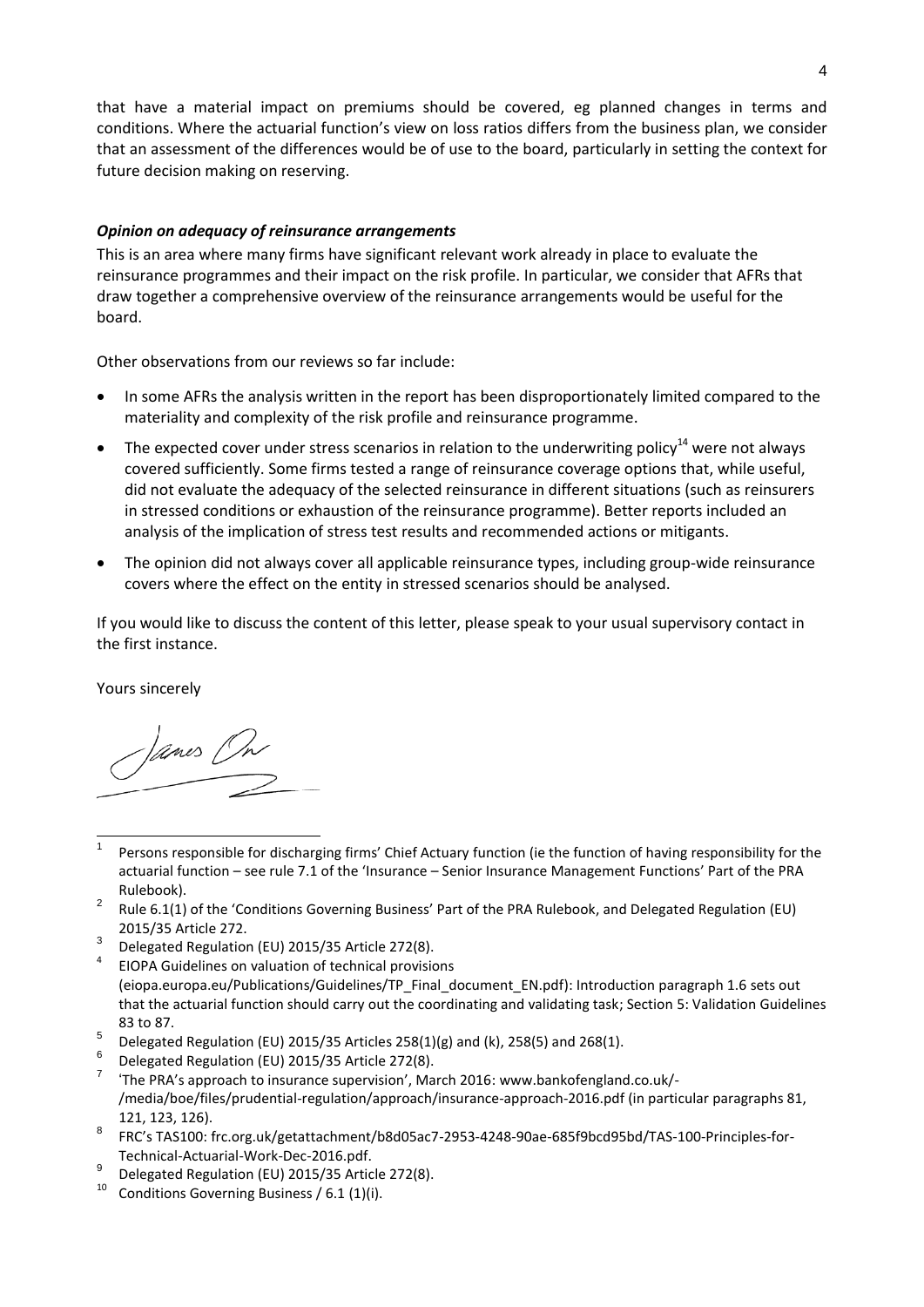that have a material impact on premiums should be covered, eg planned changes in terms and conditions. Where the actuarial function's view on loss ratios differs from the business plan, we consider that an assessment of the differences would be of use to the board, particularly in setting the context for future decision making on reserving.

## *Opinion on adequacy of reinsurance arrangements*

This is an area where many firms have significant relevant work already in place to evaluate the reinsurance programmes and their impact on the risk profile. In particular, we consider that AFRs that draw together a comprehensive overview of the reinsurance arrangements would be useful for the board.

Other observations from our reviews so far include:

- In some AFRs the analysis written in the report has been disproportionately limited compared to the materiality and complexity of the risk profile and reinsurance programme.
- The expected cover under stress scenarios in relation to the underwriting policy<sup>14</sup> were not always covered sufficiently. Some firms tested a range of reinsurance coverage options that, while useful, did not evaluate the adequacy of the selected reinsurance in different situations (such as reinsurers in stressed conditions or exhaustion of the reinsurance programme). Better reports included an analysis of the implication of stress test results and recommended actions or mitigants.
- The opinion did not always cover all applicable reinsurance types, including group-wide reinsurance covers where the effect on the entity in stressed scenarios should be analysed.

If you would like to discuss the content of this letter, please speak to your usual supervisory contact in the first instance.

Yours sincerely

Janes On

- l 1 Persons responsible for discharging firms' Chief Actuary function (ie the function of having responsibility for the actuarial function – see rule 7.1 of the 'Insurance – Senior Insurance Management Functions' Part of the PRA Rulebook).
- 2 Rule 6.1(1) of the 'Conditions Governing Business' Part of the PRA Rulebook, and Delegated Regulation (EU) 2015/35 Article 272.
- 3 Delegated Regulation (EU) 2015/35 Article 272(8).
- 4 EIOPA Guidelines on valuation of technical provisions [\(eiopa.europa.eu/Publications/Guidelines/TP\\_Final\\_document\\_EN.pdf\)](https://eiopa.europa.eu/Publications/Guidelines/TP_Final_document_EN.pdf): Introduction paragraph 1.6 sets out that the actuarial function should carry out the coordinating and validating task; Section 5: Validation Guidelines 83 to 87.
- 5 Delegated Regulation (EU) 2015/35 Articles 258(1)(g) and (k), 258(5) and 268(1).
- 6 Delegated Regulation (EU) 2015/35 Article 272(8).
- 7 'The PRA's approach to insurance supervision', March 2016: [www.bankofengland.co.uk/-](https://www.bankofengland.co.uk/-/media/boe/files/prudential-regulation/approach/insurance-approach-2016.pdf) [/media/boe/files/prudential-regulation/approach/insurance-approach-2016.pdf](https://www.bankofengland.co.uk/-/media/boe/files/prudential-regulation/approach/insurance-approach-2016.pdf) (in particular paragraphs 81, 121, 123, 126).
- 8 FRC's TAS100: [frc.org.uk/getattachment/b8d05ac7-2953-4248-90ae-685f9bcd95bd/TAS-100-Principles-for-](https://frc.org.uk/getattachment/b8d05ac7-2953-4248-90ae-685f9bcd95bd/TAS-100-Principles-for-Technical-Actuarial-Work-Dec-2016.pdf)[Technical-Actuarial-Work-Dec-2016.pdf.](https://frc.org.uk/getattachment/b8d05ac7-2953-4248-90ae-685f9bcd95bd/TAS-100-Principles-for-Technical-Actuarial-Work-Dec-2016.pdf)
- 9 Delegated Regulation (EU) 2015/35 Article 272(8).
- <sup>10</sup> Conditions Governing Business / 6.1 (1)(i).